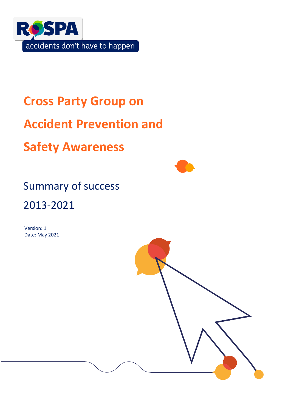

# **Cross Party Group on**

# **Accident Prevention and**

## **Safety Awareness**

## Summary of success

## 2013-2021

Version: 1 Date: May 2021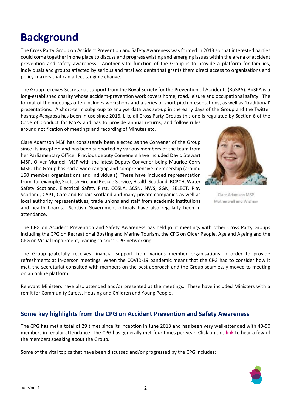### version: 1 2

## **Background**

The Cross Party Group on Accident Prevention and Safety Awareness was formed in 2013 so that interested parties could come together in one place to discuss and progress existing and emerging issues within the arena of accident prevention and safety awareness. Another vital function of the Group is to provide a platform for families, individuals and groups affected by serious and fatal accidents that grants them direct access to organisations and policy-makers that can affect tangible change.

The Group receives Secretariat support from the Royal Society for the Prevention of Accidents (RoSPA). RoSPA is a long-established charity whose accident-prevention work covers home, road, leisure and occupational safety. The format of the meetings often includes workshops and a series of short pitch presentations, as well as 'traditional' presentations. A short-term subgroup to analyse data was set-up in the early days of the Group and the Twitter hashtag #cpgapsa has been in use since 2016. Like all Cross Party Groups this one is regulated by Section 6 of the

Code of Conduct for MSPs and has to provide annual returns, and follow rules around notification of meetings and recording of Minutes etc.

Clare Adamson MSP has consistently been elected as the Convener of the Group since its inception and has been supported by various members of the team from her Parliamentary Office. Previous deputy Conveners have included David Stewart MSP, Oliver Mundell MSP with the latest Deputy Convener being Maurice Corry MSP. The Group has had a wide-ranging and comprehensive membership (around 150 member organisations and individuals). These have included representation from, for example, Scottish Fire and Rescue Service, Health Scotland, RCPCH, Water Safety Scotland, Electrical Safety First, COSLA, SCSN, NWS, SGN, SELECT, Play Scotland, CAPT, Care and Repair Scotland and many private companies as well as local authority representatives, trade unions and staff from academic institutions and health boards. Scottish Government officials have also regularly been in attendance.



The CPG on Accident Prevention and Safety Awareness has held joint meetings with other Cross Party Groups including the CPG on Recreational Boating and Marine Tourism, the CPG on Older People, Age and Ageing and the CPG on Visual Impairment, leading to cross-CPG networking.

The Group gratefully receives financial support from various member organisations in order to provide refreshments at in-person meetings. When the COVID-19 pandemic meant that the CPG had to consider how it met, the secretariat consulted with members on the best approach and the Group seamlessly moved to meeting on an online platform.

Relevant Ministers have also attended and/or presented at the meetings. These have included Ministers with a remit for Community Safety, Housing and Children and Young People.

### **Some key highlights from the CPG on Accident Prevention and Safety Awareness**

The CPG has met a total of 29 times since its inception in June 2013 and has been very well-attended with 40-50 members in regular attendance. The CPG has generally met four times per year. Click on this [link](https://youtu.be/A2Ur7dzT3hY) to hear a few of the members speaking about the Group.

Some of the vital topics that have been discussed and/or progressed by the CPG includes:

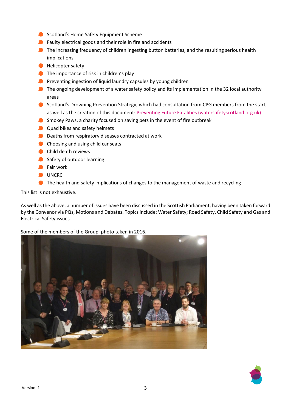- **Scotland's Home Safety Equipment Scheme**
- **O** Faulty electrical goods and their role in fire and accidents
- **The increasing frequency of children ingesting button batteries, and the resulting serious health** implications
- **A** Helicopter safety
- The importance of risk in children's play
- **Preventing ingestion of liquid laundry capsules by young children**
- The ongoing development of a water safety policy and its implementation in the 32 local authority areas
- Scotland's Drowning Prevention Strategy, which had consultation from CPG members from the start, as well as the creation of this document[: Preventing Future Fatalities \(watersafetyscotland.org.uk\)](https://watersafetyscotland.org.uk/resources/preventing-future-fatalities/)
- Smokey Paws, a charity focused on saving pets in the event of fire outbreak
- **Quad bikes and safety helmets**
- **O** Deaths from respiratory diseases contracted at work
- **Choosing and using child car seats**
- **Child death reviews**
- Safety of outdoor learning
- **C** Fair work
- UNCR<sub>C</sub>
- The health and safety implications of changes to the management of waste and recycling

This list is not exhaustive.

As well as the above, a number of issues have been discussed in the Scottish Parliament, having been taken forward by the Convenor via PQs, Motions and Debates. Topics include: Water Safety; Road Safety, Child Safety and Gas and Electrical Safety issues.

### Some of the members of the Group, photo taken in 2016.



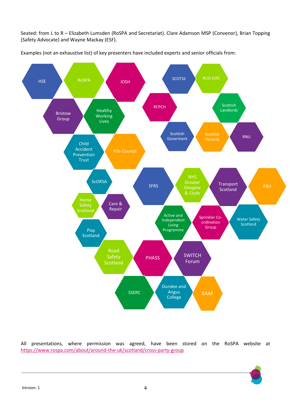Seated: from L to R – Elizabeth Lumsden (RoSPA and Secretariat). Clare Adamson MSP (Convenor), Brian Topping (Safety Advocate) and Wayne Mackay (ESF).



Examples (not an exhaustive list) of key presenters have included experts and senior officials from:

All presentations, where permission was agreed, have been stored on the RoSPA website at <https://www.rospa.com/about/around-the-uk/scotland/cross-party-group>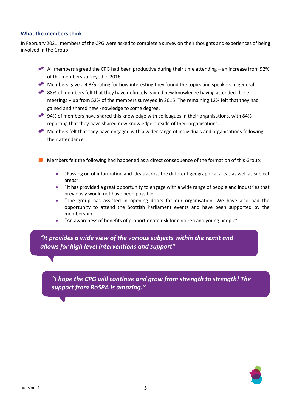### **What the members think**

In February 2021, members of the CPG were asked to complete a survey on their thoughts and experiences of being involved in the Group:

- All members agreed the CPG had been productive during their time attending an increase from 92% of the members surveyed in 2016
- Members gave a 4.3/5 rating for how interesting they found the topics and speakers in general
- 88% of members felt that they have definitely gained new knowledge having attended these meetings – up from 52% of the members surveyed in 2016. The remaining 12% felt that they had gained and shared new knowledge to some degree.
- 94% of members have shared this knowledge with colleagues in their organisations, with 84% reporting that they have shared new knowledge outside of their organisations.
- Members felt that they have engaged with a wider range of individuals and organisations following their attendance
- **O** Members felt the following had happened as a direct consequence of the formation of this Group:
	- "Passing on of information and ideas across the different geographical areas as well as subject areas"
	- "It has provided a great opportunity to engage with a wide range of people and industries that previously would not have been possible"
	- "The group has assisted in opening doors for our organisation. We have also had the opportunity to attend the Scottish Parliament events and have been supported by the membership."
	- "An awareness of benefits of proportionate risk for children and young people"

*"It provides a wide view of the various subjects within the remit and allows for high level interventions and support"*

*"I hope the CPG will continue and grow from strength to strength! The support from RoSPA is amazing."*

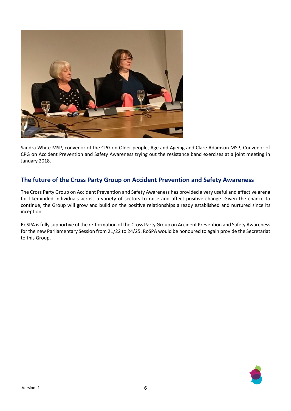

Sandra White MSP, convenor of the CPG on Older people, Age and Ageing and Clare Adamson MSP, Convenor of CPG on Accident Prevention and Safety Awareness trying out the resistance band exercises at a joint meeting in January 2018.

## **The future of the Cross Party Group on Accident Prevention and Safety Awareness**

The Cross Party Group on Accident Prevention and Safety Awareness has provided a very useful and effective arena for likeminded individuals across a variety of sectors to raise and affect positive change. Given the chance to continue, the Group will grow and build on the positive relationships already established and nurtured since its inception.

RoSPA is fully supportive of the re-formation of the Cross Party Group on Accident Prevention and Safety Awareness for the new Parliamentary Session from 21/22 to 24/25. RoSPA would be honoured to again provide the Secretariat to this Group.